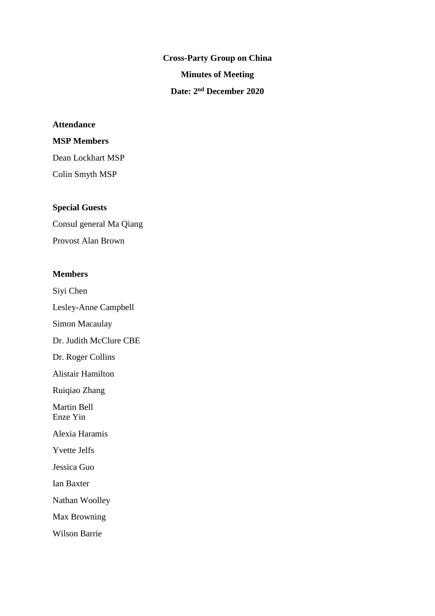**Cross-Party Group on China Minutes of Meeting Date: 2 nd December 2020**

# **Attendance**

# **MSP Members**

Dean Lockhart MSP Colin Smyth MSP

# **Special Guests**

Consul general Ma Qiang Provost Alan Brown

## **Members**

Siyi Chen Lesley-Anne Campbell Simon Macaulay Dr. Judith McClure CBE Dr. Roger Collins Alistair Hamilton Ruiqiao Zhang Martin Bell Enze Yin Alexia Haramis Yvette Jelfs Jessica Guo Ian Baxter Nathan Woolley Max Browning

Wilson Barrie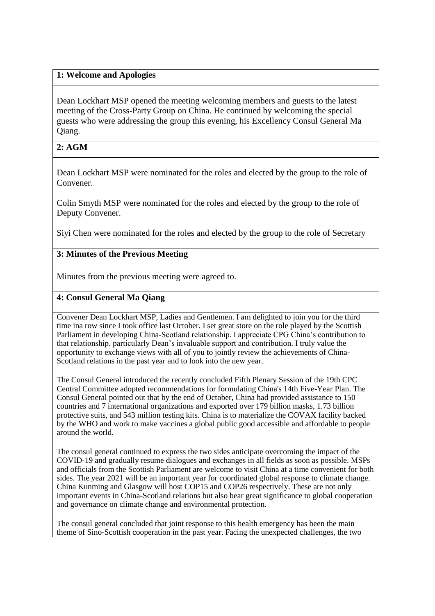# **1: Welcome and Apologies**

Dean Lockhart MSP opened the meeting welcoming members and guests to the latest meeting of the Cross-Party Group on China. He continued by welcoming the special guests who were addressing the group this evening, his Excellency Consul General Ma Qiang.

## **2: AGM**

Dean Lockhart MSP were nominated for the roles and elected by the group to the role of Convener.

Colin Smyth MSP were nominated for the roles and elected by the group to the role of Deputy Convener.

Siyi Chen were nominated for the roles and elected by the group to the role of Secretary

## **3: Minutes of the Previous Meeting**

Minutes from the previous meeting were agreed to.

### **4: Consul General Ma Qiang**

Convener Dean Lockhart MSP, Ladies and Gentlemen. I am delighted to join you for the third time ina row since I took office last October. I set great store on the role played by the Scottish Parliament in developing China-Scotland relationship. I appreciate CPG China's contribution to that relationship, particularly Dean's invaluable support and contribution. I truly value the opportunity to exchange views with all of you to jointly review the achievements of China-Scotland relations in the past year and to look into the new year.

The Consul General introduced the recently concluded Fifth Plenary Session of the 19th CPC Central Committee adopted recommendations for formulating China's 14th Five-Year Plan. The Consul General pointed out that by the end of October, China had provided assistance to 150 countries and 7 international organizations and exported over 179 billion masks, 1.73 billion protective suits, and 543 million testing kits. China is to materialize the COVAX facility backed by the WHO and work to make vaccines a global public good accessible and affordable to people around the world.

The consul general continued to express the two sides anticipate overcoming the impact of the COVID-19 and gradually resume dialogues and exchanges in all fields as soon as possible. MSPs and officials from the Scottish Parliament are welcome to visit China at a time convenient for both sides. The year 2021 will be an important year for coordinated global response to climate change. China Kunming and Glasgow will host COP15 and COP26 respectively. These are not only important events in China-Scotland relations but also bear great significance to global cooperation and governance on climate change and environmental protection.

The consul general concluded that joint response to this health emergency has been the main theme of Sino-Scottish cooperation in the past year. Facing the unexpected challenges, the two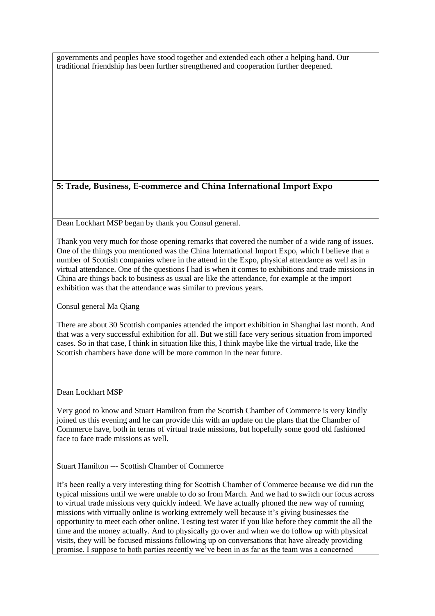governments and peoples have stood together and extended each other a helping hand. Our traditional friendship has been further strengthened and cooperation further deepened.

# **5: Trade, Business, E-commerce and China International Import Expo**

Dean Lockhart MSP began by thank you Consul general.

Thank you very much for those opening remarks that covered the number of a wide rang of issues. One of the things you mentioned was the China International Import Expo, which I believe that a number of Scottish companies where in the attend in the Expo, physical attendance as well as in virtual attendance. One of the questions I had is when it comes to exhibitions and trade missions in China are things back to business as usual are like the attendance, for example at the import exhibition was that the attendance was similar to previous years.

Consul general Ma Qiang

There are about 30 Scottish companies attended the import exhibition in Shanghai last month. And that was a very successful exhibition for all. But we still face very serious situation from imported cases. So in that case, I think in situation like this, I think maybe like the virtual trade, like the Scottish chambers have done will be more common in the near future.

Dean Lockhart MSP

Very good to know and Stuart Hamilton from the Scottish Chamber of Commerce is very kindly joined us this evening and he can provide this with an update on the plans that the Chamber of Commerce have, both in terms of virtual trade missions, but hopefully some good old fashioned face to face trade missions as well.

Stuart Hamilton --- Scottish Chamber of Commerce

It's been really a very interesting thing for Scottish Chamber of Commerce because we did run the typical missions until we were unable to do so from March. And we had to switch our focus across to virtual trade missions very quickly indeed. We have actually phoned the new way of running missions with virtually online is working extremely well because it's giving businesses the opportunity to meet each other online. Testing test water if you like before they commit the all the time and the money actually. And to physically go over and when we do follow up with physical visits, they will be focused missions following up on conversations that have already providing promise. I suppose to both parties recently we've been in as far as the team was a concerned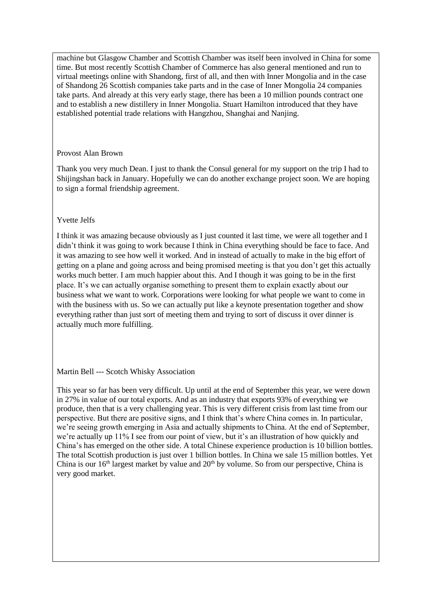machine but Glasgow Chamber and Scottish Chamber was itself been involved in China for some time. But most recently Scottish Chamber of Commerce has also general mentioned and run to virtual meetings online with Shandong, first of all, and then with Inner Mongolia and in the case of Shandong 26 Scottish companies take parts and in the case of Inner Mongolia 24 companies take parts. And already at this very early stage, there has been a 10 million pounds contract one and to establish a new distillery in Inner Mongolia. Stuart Hamilton introduced that they have established potential trade relations with Hangzhou, Shanghai and Nanjing.

#### Provost Alan Brown

Thank you very much Dean. I just to thank the Consul general for my support on the trip I had to Shijingshan back in January. Hopefully we can do another exchange project soon. We are hoping to sign a formal friendship agreement.

### Yvette Jelfs

I think it was amazing because obviously as I just counted it last time, we were all together and I didn't think it was going to work because I think in China everything should be face to face. And it was amazing to see how well it worked. And in instead of actually to make in the big effort of getting on a plane and going across and being promised meeting is that you don't get this actually works much better. I am much happier about this. And I though it was going to be in the first place. It's we can actually organise something to present them to explain exactly about our business what we want to work. Corporations were looking for what people we want to come in with the business with us. So we can actually put like a keynote presentation together and show everything rather than just sort of meeting them and trying to sort of discuss it over dinner is actually much more fulfilling.

### Martin Bell --- Scotch Whisky Association

This year so far has been very difficult. Up until at the end of September this year, we were down in 27% in value of our total exports. And as an industry that exports 93% of everything we produce, then that is a very challenging year. This is very different crisis from last time from our perspective. But there are positive signs, and I think that's where China comes in. In particular, we're seeing growth emerging in Asia and actually shipments to China. At the end of September, we're actually up 11% I see from our point of view, but it's an illustration of how quickly and China's has emerged on the other side. A total Chinese experience production is 10 billion bottles. The total Scottish production is just over 1 billion bottles. In China we sale 15 million bottles. Yet China is our  $16<sup>th</sup>$  largest market by value and  $20<sup>th</sup>$  by volume. So from our perspective, China is very good market.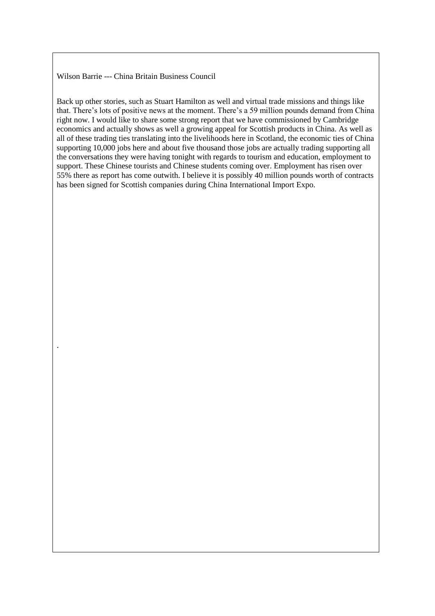#### Wilson Barrie --- China Britain Business Council

.

Back up other stories, such as Stuart Hamilton as well and virtual trade missions and things like that. There's lots of positive news at the moment. There's a 59 million pounds demand from China right now. I would like to share some strong report that we have commissioned by Cambridge economics and actually shows as well a growing appeal for Scottish products in China. As well as all of these trading ties translating into the livelihoods here in Scotland, the economic ties of China supporting 10,000 jobs here and about five thousand those jobs are actually trading supporting all the conversations they were having tonight with regards to tourism and education, employment to support. These Chinese tourists and Chinese students coming over. Employment has risen over 55% there as report has come outwith. I believe it is possibly 40 million pounds worth of contracts has been signed for Scottish companies during China International Import Expo.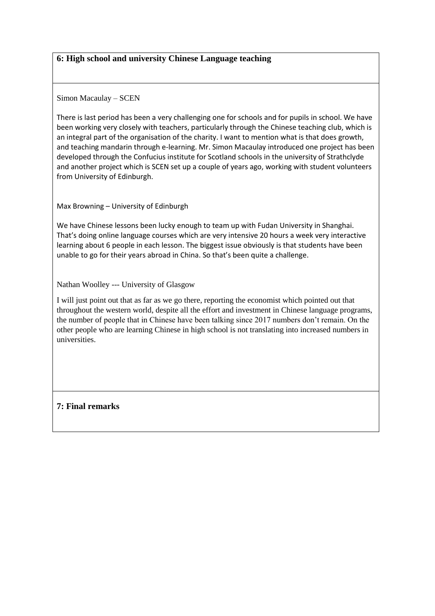# **6: High school and university Chinese Language teaching**

Simon Macaulay – SCEN

There is last period has been a very challenging one for schools and for pupils in school. We have been working very closely with teachers, particularly through the Chinese teaching club, which is an integral part of the organisation of the charity. I want to mention what is that does growth, and teaching mandarin through e-learning. Mr. Simon Macaulay introduced one project has been developed through the Confucius institute for Scotland schools in the university of Strathclyde and another project which is SCEN set up a couple of years ago, working with student volunteers from University of Edinburgh.

Max Browning – University of Edinburgh

We have Chinese lessons been lucky enough to team up with Fudan University in Shanghai. That's doing online language courses which are very intensive 20 hours a week very interactive learning about 6 people in each lesson. The biggest issue obviously is that students have been unable to go for their years abroad in China. So that's been quite a challenge.

Nathan Woolley --- University of Glasgow

I will just point out that as far as we go there, reporting the economist which pointed out that throughout the western world, despite all the effort and investment in Chinese language programs, the number of people that in Chinese have been talking since 2017 numbers don't remain. On the other people who are learning Chinese in high school is not translating into increased numbers in universities.

**7: Final remarks**